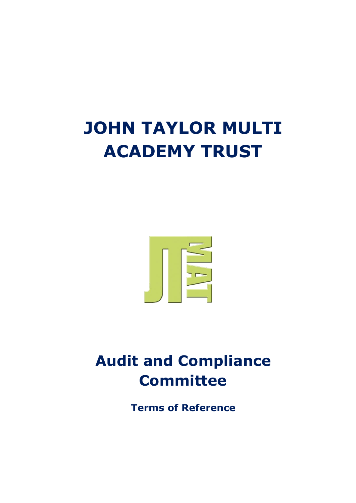## **JOHN TAYLOR MULTI ACADEMY TRUST**



## **Audit and Compliance Committee**

**Terms of Reference**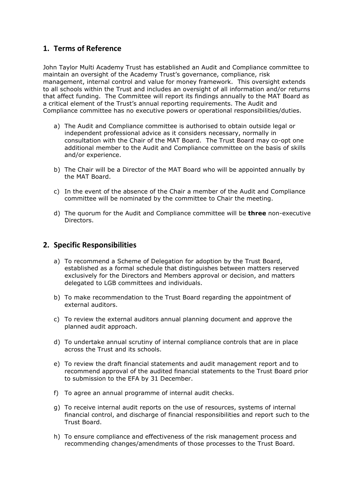## **1. Terms of Reference**

John Taylor Multi Academy Trust has established an Audit and Compliance committee to maintain an oversight of the Academy Trust's governance, compliance, risk management, internal control and value for money framework. This oversight extends to all schools within the Trust and includes an oversight of all information and/or returns that affect funding. The Committee will report its findings annually to the MAT Board as a critical element of the Trust's annual reporting requirements. The Audit and Compliance committee has no executive powers or operational responsibilities/duties.

- a) The Audit and Compliance committee is authorised to obtain outside legal or independent professional advice as it considers necessary, normally in consultation with the Chair of the MAT Board. The Trust Board may co-opt one additional member to the Audit and Compliance committee on the basis of skills and/or experience.
- b) The Chair will be a Director of the MAT Board who will be appointed annually by the MAT Board.
- c) In the event of the absence of the Chair a member of the Audit and Compliance committee will be nominated by the committee to Chair the meeting.
- d) The quorum for the Audit and Compliance committee will be **three** non-executive Directors.

## **2. Specific Responsibilities**

- a) To recommend a Scheme of Delegation for adoption by the Trust Board, established as a formal schedule that distinguishes between matters reserved exclusively for the Directors and Members approval or decision, and matters delegated to LGB committees and individuals.
- b) To make recommendation to the Trust Board regarding the appointment of external auditors.
- c) To review the external auditors annual planning document and approve the planned audit approach.
- d) To undertake annual scrutiny of internal compliance controls that are in place across the Trust and its schools.
- e) To review the draft financial statements and audit management report and to recommend approval of the audited financial statements to the Trust Board prior to submission to the EFA by 31 December.
- f) To agree an annual programme of internal audit checks.
- g) To receive internal audit reports on the use of resources, systems of internal financial control, and discharge of financial responsibilities and report such to the Trust Board.
- h) To ensure compliance and effectiveness of the risk management process and recommending changes/amendments of those processes to the Trust Board.